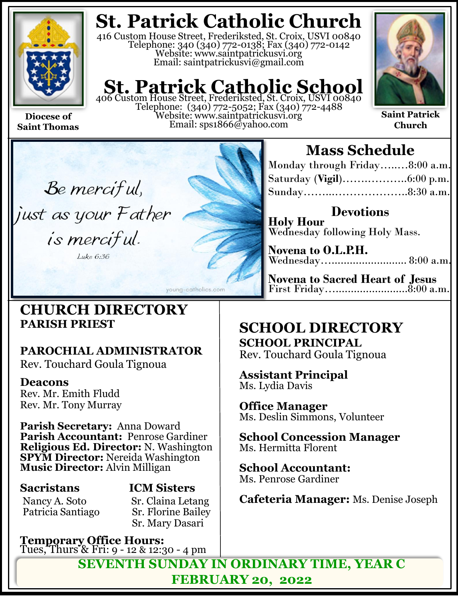

**Saint Thomas**

# **St. Patrick Catholic Church**

416 Custom House Street, Frederiksted, St. Croix, USVI 00840 Telephone: 340 (340) 772-0138; Fax (340) 772-0142 Website: www.saintpatrickusvi.org Email: saintpatrickusvi@gmail.com

# **St. Patrick Catholic School**<br>406 Custom House Street, Frederiksted, St. Croix, USVI 00840

Telephone: (340) 772-5052; Fax (340) 772-4488 Website: www.saintpatrickusvi.org Email: sps1866@yahoo.com



**Saint Patrick Church**

Be merciful, just as your Father is merciful. Luke 6:36

## **CHURCH DIRECTORY PARISH PRIEST**

## **PAROCHIAL ADMINISTRATOR**

Rev. Touchard Goula Tignoua

## **Deacons**

Rev. Mr. Emith Fludd Rev. Mr. Tony Murray

**Parish Secretary:** Anna Doward **Parish Accountant:** Penrose Gardiner **Religious Ed. Director:** N. Washington **SPYM Director:** Nereida Washington **Music Director:** Alvin Milligan

Nancy A. Soto Sr. Claina Letang<br>Patricia Santiago Sr. Florine Bailey Patricia Santiago

# **Sacristans ICM Sisters**

Sr. Mary Dasari

young-catholics.com

**Temporary Office Hours:**  Tues, Thurs & Fri: 9 - 12 & 12:30 - 4 pm

# **Mass Schedule**

| Monday through Friday8:00 a.m. |  |
|--------------------------------|--|
|                                |  |
|                                |  |

**Devotions Holy Hour**  Wednesday following Holy Mass.

**Novena to O.L.P.H.** Wednesday…............................. 8:00 a.m.

**Novena to Sacred Heart of Jesus** First Friday…........................8:00 a.m.

## **SCHOOL DIRECTORY SCHOOL PRINCIPAL**

Rev. Touchard Goula Tignoua

**Assistant Principal** Ms. Lydia Davis

**Office Manager** Ms. Deslin Simmons, Volunteer

**School Concession Manager** Ms. Hermitta Florent

**School Accountant:**  Ms. Penrose Gardiner

**Cafeteria Manager:** Ms. Denise Joseph

**SEVENTH SUNDAY IN ORDINARY TIME, YEAR C FEBRUARY 20, 2022**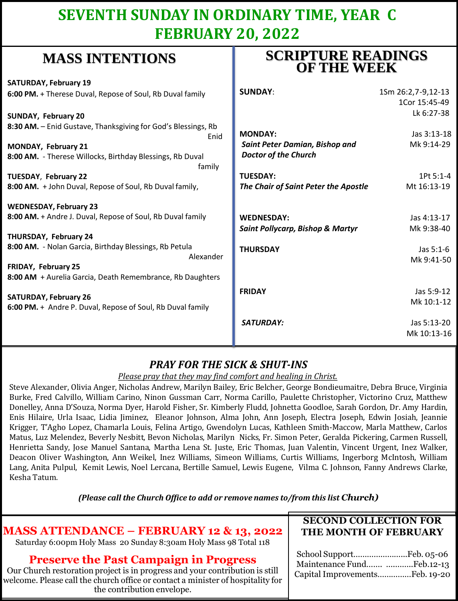## **SEVENTH SUNDAY IN ORDINARY TIME, YEAR C FEBRUARY 20, 2022**

## **MASS INTENTIONS**

| <b>SATURDAY, February 19</b>                                  |                                             |                    |
|---------------------------------------------------------------|---------------------------------------------|--------------------|
| 6:00 PM. + Therese Duval, Repose of Soul, Rb Duval family     | <b>SUNDAY:</b>                              | 1Sm 26:2,7-9,12-13 |
|                                                               |                                             | 1Cor 15:45-49      |
| <b>SUNDAY, February 20</b>                                    |                                             | Lk 6:27-38         |
| 8:30 AM. - Enid Gustave, Thanksgiving for God's Blessings, Rb |                                             |                    |
| Enid                                                          | <b>MONDAY:</b>                              | Jas 3:13-18        |
| MONDAY, February 21                                           | <b>Saint Peter Damian, Bishop and</b>       | Mk 9:14-29         |
| 8:00 AM. - Therese Willocks, Birthday Blessings, Rb Duval     | <b>Doctor of the Church</b>                 |                    |
| family                                                        |                                             |                    |
| TUESDAY, February 22                                          | <b>TUESDAY:</b>                             | 1Pt 5:1-4          |
| 8:00 AM. + John Duval, Repose of Soul, Rb Duval family,       | The Chair of Saint Peter the Apostle        | Mt 16:13-19        |
| <b>WEDNESDAY, February 23</b>                                 |                                             |                    |
| 8:00 AM. + Andre J. Duval, Repose of Soul, Rb Duval family    | <b>WEDNESDAY:</b>                           | Jas 4:13-17        |
|                                                               | <b>Saint Pollycarp, Bishop &amp; Martyr</b> | Mk 9:38-40         |
| THURSDAY, February 24                                         |                                             |                    |
| 8:00 AM. - Nolan Garcia, Birthday Blessings, Rb Petula        | <b>THURSDAY</b>                             | Jas 5:1-6          |
| Alexander                                                     |                                             | Mk 9:41-50         |
| <b>FRIDAY, February 25</b>                                    |                                             |                    |
| 8:00 AM + Aurelia Garcia, Death Remembrance, Rb Daughters     |                                             |                    |
|                                                               | <b>FRIDAY</b>                               | Jas 5:9-12         |
| <b>SATURDAY, February 26</b>                                  |                                             | Mk 10:1-12         |
| 6:00 PM. + Andre P. Duval, Repose of Soul, Rb Duval family    |                                             |                    |
|                                                               | <b>SATURDAY:</b>                            | Jas 5:13-20        |
|                                                               |                                             | Mk 10:13-16        |
|                                                               |                                             |                    |

## *PRAY FOR THE SICK & SHUT-INS*

### *Please pray that they may find comfort and healing in Christ.*

Steve Alexander, Olivia Anger, Nicholas Andrew, Marilyn Bailey, Eric Belcher, George Bondieumaitre, Debra Bruce, Virginia Burke, Fred Calvillo, William Carino, Ninon Gussman Carr, Norma Carillo, Paulette Christopher, Victorino Cruz, Matthew Donelley, Anna D'Souza, Norma Dyer, Harold Fisher, Sr. Kimberly Fludd, Johnetta Goodloe, Sarah Gordon, Dr. Amy Hardin, Enis Hilaire, Urla Isaac, Lidia Jiminez, Eleanor Johnson, Alma John, Ann Joseph, Electra Joseph, Edwin Josiah, Jeannie Krigger, T'Agho Lopez, Chamarla Louis, Felina Artigo, Gwendolyn Lucas, Kathleen Smith-Maccow, Marla Matthew, Carlos Matus, Luz Melendez, Beverly Nesbitt, Bevon Nicholas, Marilyn Nicks, Fr. Simon Peter, Geralda Pickering, Carmen Russell, Henrietta Sandy, Jose Manuel Santana, Martha Lena St. Juste, Eric Thomas, Juan Valentin, Vincent Urgent, Inez Walker, Deacon Oliver Washington, Ann Weikel, Inez Williams, Simeon Williams, Curtis Williams, Ingerborg McIntosh, William Lang, Anita Pulpul, Kemit Lewis, Noel Lercana, Bertille Samuel, Lewis Eugene, Vilma C. Johnson, Fanny Andrews Clarke, Kesha Tatum.

*(Please call the Church Office to add or remove names to/from this list Church)*

## **MASS ATTENDANCE – FEBRUARY 12 & 13, 2022**

Saturday 6:00pm Holy Mass 20 Sunday 8:30am Holy Mass 98 Total 118

### **Preserve the Past Campaign in Progress**

Our Church restoration project is in progress and your contribution is still welcome. Please call the church office or contact a minister of hospitality for the contribution envelope.

### **SECOND COLLECTION FOR THE MONTH OF FEBRUARY**

| Maintenance Fund Feb.12-13     |  |
|--------------------------------|--|
| Capital ImprovementsFeb. 19-20 |  |

## **SCRIPTURE READINGS OF THE WEEK**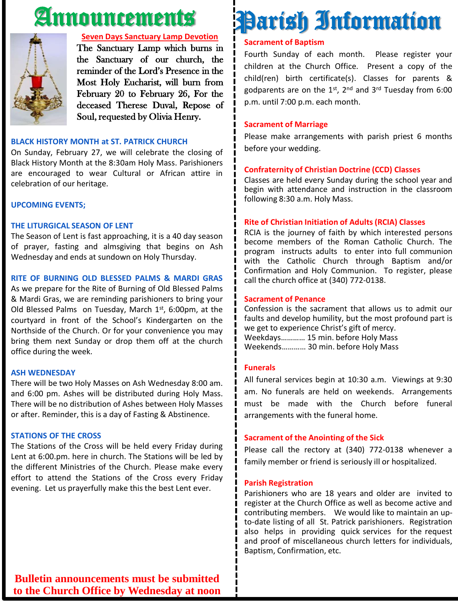# Announcements



### **Seven Days Sanctuary Lamp Devotion**

The Sanctuary Lamp which burns in the Sanctuary of our church, the reminder of the Lord's Presence in the Most Holy Eucharist, will burn from February 20 to February 26, For the deceased Therese Duval, Repose of Soul, requested by Olivia Henry.

### **BLACK HISTORY MONTH at ST. PATRICK CHURCH**

On Sunday, February 27, we will celebrate the closing of Black History Month at the 8:30am Holy Mass. Parishioners are encouraged to wear Cultural or African attire in celebration of our heritage.

### **UPCOMING EVENTS;**

### **THE LITURGICAL SEASON OF LENT**

The Season of Lent is fast approaching, it is a 40 day season of prayer, fasting and almsgiving that begins on Ash Wednesday and ends at sundown on Holy Thursday.

### **RITE OF BURNING OLD BLESSED PALMS & MARDI GRAS**

As we prepare for the Rite of Burning of Old Blessed Palms & Mardi Gras, we are reminding parishioners to bring your Old Blessed Palms on Tuesday, March 1st, 6:00pm, at the courtyard in front of the School's Kindergarten on the Northside of the Church. Or for your convenience you may bring them next Sunday or drop them off at the church office during the week.

#### **ASH WEDNESDAY**

There will be two Holy Masses on Ash Wednesday 8:00 am. and 6:00 pm. Ashes will be distributed during Holy Mass. There will be no distribution of Ashes between Holy Masses or after. Reminder, this is a day of Fasting & Abstinence.

#### **STATIONS OF THE CROSS**

The Stations of the Cross will be held every Friday during Lent at 6:00.pm. here in church. The Stations will be led by the different Ministries of the Church. Please make every effort to attend the Stations of the Cross every Friday evening. Let us prayerfully make this the best Lent ever.

# Parish Information

### **Sacrament of Baptism**

Fourth Sunday of each month. Please register your children at the Church Office. Present a copy of the child(ren) birth certificate(s). Classes for parents & godparents are on the 1st, 2<sup>nd</sup> and 3<sup>rd</sup> Tuesday from 6:00 p.m. until 7:00 p.m. each month.

#### **Sacrament of Marriage**

Please make arrangements with parish priest 6 months before your wedding.

### **Confraternity of Christian Doctrine (CCD) Classes**

Classes are held every Sunday during the school year and begin with attendance and instruction in the classroom following 8:30 a.m. Holy Mass.

### **Rite of Christian Initiation of Adults (RCIA) Classes**

RCIA is the journey of faith by which interested persons become members of the Roman Catholic Church. The program instructs adults to enter into full communion with the Catholic Church through Baptism and/or Confirmation and Holy Communion. To register, please call the church office at (340) 772-0138.

### **Sacrament of Penance**

Confession is the sacrament that allows us to admit our faults and develop humility, but the most profound part is we get to experience Christ's gift of mercy. Weekdays………… 15 min. before Holy Mass Weekends………… 30 min. before Holy Mass

### **Funerals**

All funeral services begin at 10:30 a.m. Viewings at 9:30 am. No funerals are held on weekends. Arrangements must be made with the Church before funeral arrangements with the funeral home.

### **Sacrament of the Anointing of the Sick**

Please call the rectory at (340) 772-0138 whenever a family member or friend is seriously ill or hospitalized.

#### **Parish Registration**

Parishioners who are 18 years and older are invited to register at the Church Office as well as become active and contributing members. We would like to maintain an upto-date listing of all St. Patrick parishioners. Registration also helps in providing quick services for the request and proof of miscellaneous church letters for individuals, Baptism, Confirmation, etc.

**Bulletin announcements must be submitted to the Church Office by Wednesday at noon**